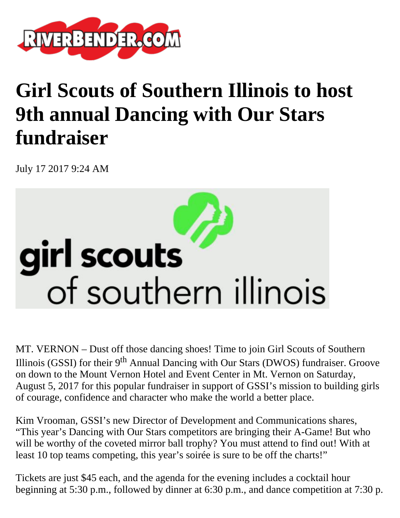

## **Girl Scouts of Southern Illinois to host 9th annual Dancing with Our Stars fundraiser**

July 17 2017 9:24 AM



MT. VERNON – Dust off those dancing shoes! Time to join Girl Scouts of Southern Illinois (GSSI) for their  $9<sup>th</sup>$  Annual Dancing with Our Stars (DWOS) fundraiser. Groove on down to the Mount Vernon Hotel and Event Center in Mt. Vernon on Saturday, August 5, 2017 for this popular fundraiser in support of GSSI's mission to building girls of courage, confidence and character who make the world a better place.

Kim Vrooman, GSSI's new Director of Development and Communications shares, "This year's Dancing with Our Stars competitors are bringing their A-Game! But who will be worthy of the coveted mirror ball trophy? You must attend to find out! With at least 10 top teams competing, this year's soirée is sure to be off the charts!"

Tickets are just \$45 each, and the agenda for the evening includes a cocktail hour beginning at 5:30 p.m., followed by dinner at 6:30 p.m., and dance competition at 7:30 p.